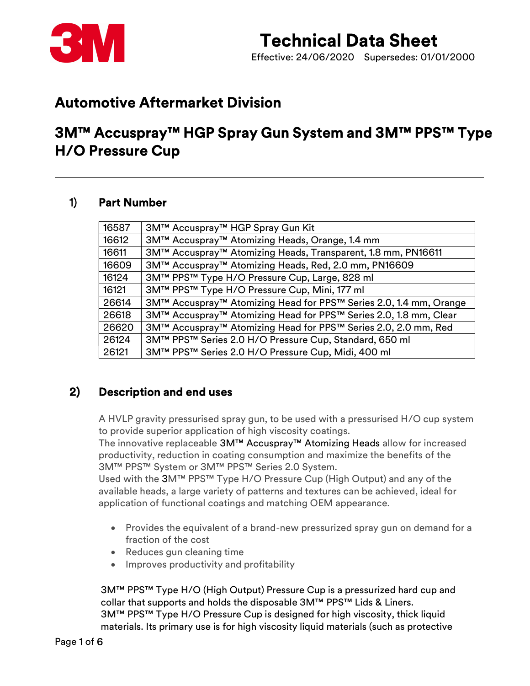

Effective: 24/06/2020 Supersedes: 01/01/2000

### Automotive Aftermarket Division

### 3M™ Accuspray™ HGP Spray Gun System and 3M™ PPS™ Type H/O Pressure Cup

#### 1) Part Number

| 16587 | 3M™ Accuspray™ HGP Spray Gun Kit                                  |
|-------|-------------------------------------------------------------------|
| 16612 | 3M™ Accuspray™ Atomizing Heads, Orange, 1.4 mm                    |
| 16611 | 3M™ Accuspray™ Atomizing Heads, Transparent, 1.8 mm, PN16611      |
| 16609 | 3M™ Accuspray™ Atomizing Heads, Red, 2.0 mm, PN16609              |
| 16124 | 3M™ PPS™ Type H/O Pressure Cup, Large, 828 ml                     |
| 16121 | 3M™ PPS™ Type H/O Pressure Cup, Mini, 177 ml                      |
| 26614 | 3M™ Accuspray™ Atomizing Head for PPS™ Series 2.0, 1.4 mm, Orange |
| 26618 | 3M™ Accuspray™ Atomizing Head for PPS™ Series 2.0, 1.8 mm, Clear  |
| 26620 | 3M™ Accuspray™ Atomizing Head for PPS™ Series 2.0, 2.0 mm, Red    |
| 26124 | 3M™ PPS™ Series 2.0 H/O Pressure Cup, Standard, 650 ml            |
| 26121 | 3M™ PPS™ Series 2.0 H/O Pressure Cup, Midi, 400 ml                |
|       |                                                                   |

### 2) Description and end uses

A HVLP gravity pressurised spray gun, to be used with a pressurised H/O cup system to provide superior application of high viscosity coatings.

The innovative replaceable 3M™ Accuspray™ Atomizing Heads allow for increased productivity, reduction in coating consumption and maximize the benefits of the 3M™ PPS™ System or 3M™ PPS™ Series 2.0 System.

Used with the 3M™ PPS™ Type H/O Pressure Cup (High Output) and any of the available heads, a large variety of patterns and textures can be achieved, ideal for application of functional coatings and matching OEM appearance.

- Provides the equivalent of a brand-new pressurized spray gun on demand for a fraction of the cost
- Reduces gun cleaning time
- Improves productivity and profitability

3M™ PPS™ Type H/O (High Output) Pressure Cup is a pressurized hard cup and collar that supports and holds the disposable 3M™ PPS™ Lids & Liners. 3M™ PPS™ Type H/O Pressure Cup is designed for high viscosity, thick liquid materials. Its primary use is for high viscosity liquid materials (such as protective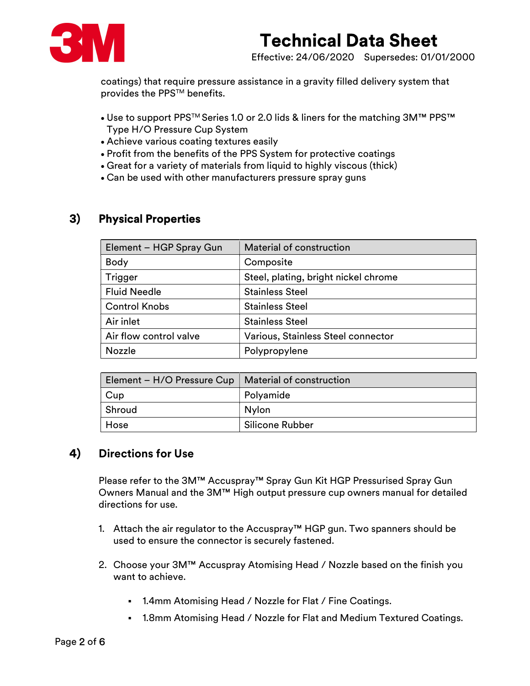

Effective: 24/06/2020 Supersedes: 01/01/2000

coatings) that require pressure assistance in a gravity filled delivery system that provides the PPS™ benefits.

- Use to support PPS™ Series 1.0 or 2.0 lids & liners for the matching 3M™ PPS™ Type H/O Pressure Cup System
- Achieve various coating textures easily
- Profit from the benefits of the PPS System for protective coatings
- Great for a variety of materials from liquid to highly viscous (thick)
- Can be used with other manufacturers pressure spray guns

### 3) Physical Properties

| Element - HGP Spray Gun | Material of construction             |
|-------------------------|--------------------------------------|
| <b>Body</b>             | Composite                            |
| Trigger                 | Steel, plating, bright nickel chrome |
| <b>Fluid Needle</b>     | <b>Stainless Steel</b>               |
| <b>Control Knobs</b>    | <b>Stainless Steel</b>               |
| Air inlet               | <b>Stainless Steel</b>               |
| Air flow control valve  | Various, Stainless Steel connector   |
| <b>Nozzle</b>           | Polypropylene                        |

| Element – H/O Pressure Cup   Material of construction |                        |
|-------------------------------------------------------|------------------------|
| Cup                                                   | Polyamide              |
| Shroud                                                | Nylon                  |
| Hose                                                  | <b>Silicone Rubber</b> |

#### 4) Directions for Use

Please refer to the 3M™ Accuspray™ Spray Gun Kit HGP Pressurised Spray Gun Owners Manual and the 3M™ High output pressure cup owners manual for detailed directions for use.

- 1. Attach the air regulator to the Accuspray™ HGP gun. Two spanners should be used to ensure the connector is securely fastened.
- 2. Choose your 3M™ Accuspray Atomising Head / Nozzle based on the finish you want to achieve.
	- 1.4mm Atomising Head / Nozzle for Flat / Fine Coatings.
	- 1.8mm Atomising Head / Nozzle for Flat and Medium Textured Coatings.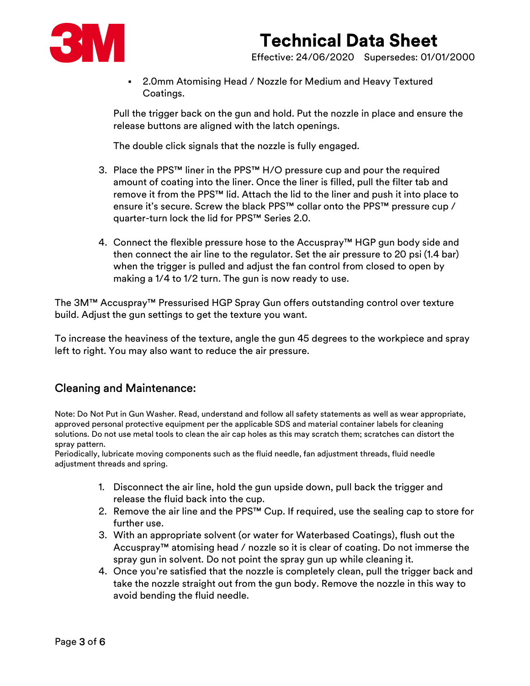

Effective: 24/06/2020 Supersedes: 01/01/2000

 2.0mm Atomising Head / Nozzle for Medium and Heavy Textured Coatings.

Pull the trigger back on the gun and hold. Put the nozzle in place and ensure the release buttons are aligned with the latch openings.

The double click signals that the nozzle is fully engaged.

- 3. Place the PPS™ liner in the PPS™ H/O pressure cup and pour the required amount of coating into the liner. Once the liner is filled, pull the filter tab and remove it from the PPS™ lid. Attach the lid to the liner and push it into place to ensure it's secure. Screw the black PPS™ collar onto the PPS™ pressure cup / quarter-turn lock the lid for PPS™ Series 2.0.
- 4. Connect the flexible pressure hose to the Accuspray™ HGP gun body side and then connect the air line to the regulator. Set the air pressure to 20 psi (1.4 bar) when the trigger is pulled and adjust the fan control from closed to open by making a 1/4 to 1/2 turn. The gun is now ready to use.

The 3M™ Accuspray™ Pressurised HGP Spray Gun offers outstanding control over texture build. Adjust the gun settings to get the texture you want.

To increase the heaviness of the texture, angle the gun 45 degrees to the workpiece and spray left to right. You may also want to reduce the air pressure.

### Cleaning and Maintenance:

Note: Do Not Put in Gun Washer. Read, understand and follow all safety statements as well as wear appropriate, approved personal protective equipment per the applicable SDS and material container labels for cleaning solutions. Do not use metal tools to clean the air cap holes as this may scratch them; scratches can distort the spray pattern.

Periodically, lubricate moving components such as the fluid needle, fan adjustment threads, fluid needle adjustment threads and spring.

- 1. Disconnect the air line, hold the gun upside down, pull back the trigger and release the fluid back into the cup.
- 2. Remove the air line and the PPS™ Cup. If required, use the sealing cap to store for further use.
- 3. With an appropriate solvent (or water for Waterbased Coatings), flush out the Accuspray™ atomising head / nozzle so it is clear of coating. Do not immerse the spray gun in solvent. Do not point the spray gun up while cleaning it.
- 4. Once you're satisfied that the nozzle is completely clean, pull the trigger back and take the nozzle straight out from the gun body. Remove the nozzle in this way to avoid bending the fluid needle.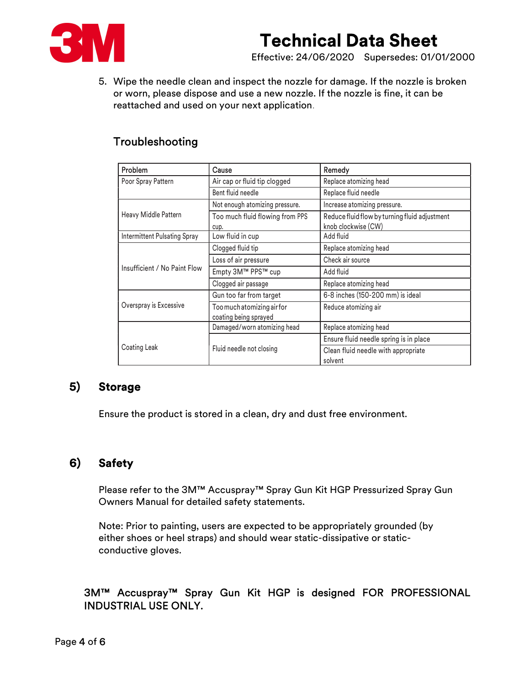

Effective: 24/06/2020 Supersedes: 01/01/2000

5. Wipe the needle clean and inspect the nozzle for damage. If the nozzle is broken or worn, please dispose and use a new nozzle. If the nozzle is fine, it can be reattached and used on your next application.

#### Troubleshooting

| Problem                      | Cause                                               | Remedy                                                               |
|------------------------------|-----------------------------------------------------|----------------------------------------------------------------------|
| Poor Spray Pattern           | Air cap or fluid tip clogged                        | Replace atomizing head                                               |
|                              | Bent fluid needle                                   | Replace fluid needle                                                 |
|                              | Not enough atomizing pressure.                      | Increase atomizing pressure.                                         |
| Heavy Middle Pattern         | Too much fluid flowing from PPS<br>cup.             | Reduce fluid flow by turning fluid adjustment<br>knob clockwise (CW) |
| Intermittent Pulsating Spray | Low fluid in cup                                    | Add fluid                                                            |
|                              | Clogged fluid tip                                   | Replace atomizing head                                               |
|                              | Loss of air pressure                                | Check air source                                                     |
| Insufficient / No Paint Flow | Empty 3M™ PPS™ cup                                  | Add fluid                                                            |
|                              | Clogged air passage                                 | Replace atomizing head                                               |
|                              | Gun too far from target                             | 6-8 inches (150-200 mm) is ideal                                     |
| Overspray is Excessive       | Too much atomizing air for<br>coating being sprayed | Reduce atomizing air                                                 |
|                              | Damaged/worn atomizing head                         | Replace atomizing head                                               |
|                              |                                                     | Ensure fluid needle spring is in place                               |
| Coating Leak                 | Fluid needle not closing                            | Clean fluid needle with appropriate<br>solvent                       |

#### 5) Storage

Ensure the product is stored in a clean, dry and dust free environment.

### 6) Safety

Please refer to the 3M™ Accuspray™ Spray Gun Kit HGP Pressurized Spray Gun Owners Manual for detailed safety statements.

Note: Prior to painting, users are expected to be appropriately grounded (by either shoes or heel straps) and should wear static-dissipative or staticconductive gloves.

#### 3M™ Accuspray™ Spray Gun Kit HGP is designed FOR PROFESSIONAL INDUSTRIAL USE ONLY.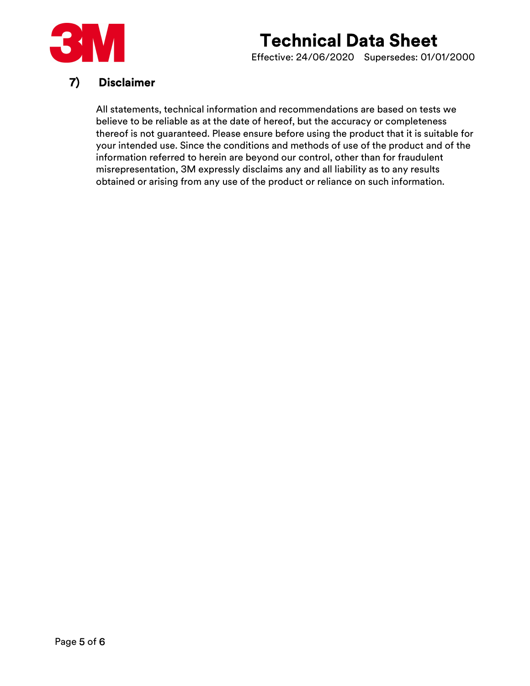

Effective: 24/06/2020 Supersedes: 01/01/2000

### 7) Disclaimer

All statements, technical information and recommendations are based on tests we believe to be reliable as at the date of hereof, but the accuracy or completeness thereof is not guaranteed. Please ensure before using the product that it is suitable for your intended use. Since the conditions and methods of use of the product and of the information referred to herein are beyond our control, other than for fraudulent misrepresentation, 3M expressly disclaims any and all liability as to any results obtained or arising from any use of the product or reliance on such information.